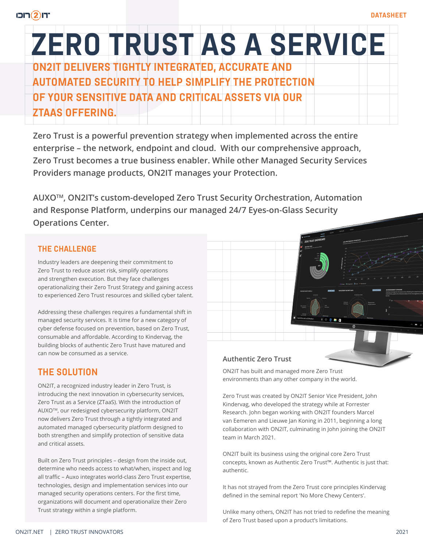# **ZERO TRUST AS A SERVICE ON2IT DELIVERS TIGHTLY INTEGRATED, ACCURATE AND AUTOMATED SECURITY TO HELP SIMPLIFY THE PROTECTION OF YOUR SENSITIVE DATA AND CRITICAL ASSETS VIA OUR ZTAAS OFFERING.**

**Zero Trust is a powerful prevention strategy when implemented across the entire enterprise – the network, endpoint and cloud. With our comprehensive approach, Zero Trust becomes a true business enabler. While other Managed Security Services Providers manage products, ON2IT manages your Protection.** 

**AUXOTM, ON2IT's custom-developed Zero Trust Security Orchestration, Automation and Response Platform, underpins our managed 24/7 Eyes-on-Glass Security Operations Center.** 

## **THE CHALLENGE**

Industry leaders are deepening their commitment to Zero Trust to reduce asset risk, simplify operations and strengthen execution. But they face challenges operationalizing their Zero Trust Strategy and gaining access to experienced Zero Trust resources and skilled cyber talent.

Addressing these challenges requires a fundamental shift in managed security services. It is time for a new category of cyber defense focused on prevention, based on Zero Trust, consumable and affordable. According to Kindervag, the building blocks of authentic Zero Trust have matured and can now be consumed as a service.

# **THE SOLUTION**

ON2IT, a recognized industry leader in Zero Trust, is introducing the next innovation in cybersecurity services, Zero Trust as a Service (ZTaaS). With the introduction of AUXOTM, our redesigned cybersecurity platform, ON2IT now delivers Zero Trust through a tightly integrated and automated managed cybersecurity platform designed to both strengthen and simplify protection of sensitive data and critical assets.

Built on Zero Trust principles – design from the inside out, determine who needs access to what/when, inspect and log all traffic – Auxo integrates world-class Zero Trust expertise, technologies, design and implementation services into our managed security operations centers. For the first time, organizations will document and operationalize their Zero Trust strategy within a single platform.

## **Authentic Zero Trust**

ON2IT has built and managed more Zero Trust environments than any other company in the world.

Zero Trust was created by ON2IT Senior Vice President, John Kindervag, who developed the strategy while at Forrester Research. John began working with ON2IT founders Marcel van Eemeren and Lieuwe Jan Koning in 2011, beginning a long collaboration with ON2IT, culminating in John joining the ON2IT team in March 2021.

ON2IT built its business using the original core Zero Trust concepts, known as Authentic Zero Trust™. Authentic is just that: authentic.

It has not strayed from the Zero Trust core principles Kindervag defined in the seminal report 'No More Chewy Centers'.

Unlike many others, ON2IT has not tried to redefine the meaning of Zero Trust based upon a product's limitations.